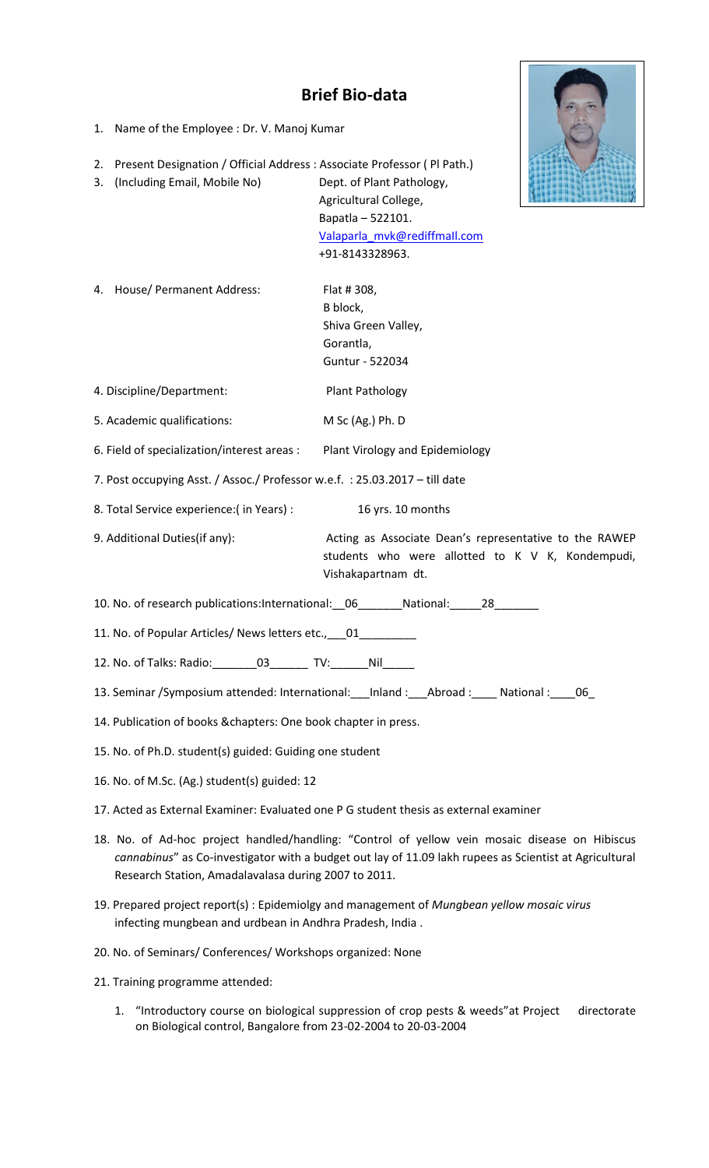## **Brief Bio-data**

- 1. Name of the Employee : Dr. V. Manoj Kumar
- 2. Present Designation / Official Address : Associate Professor ( Pl Path.)
- 3. (Including Email, Mobile No) Dept. of Plant Pathology, Agricultural College, Bapatla – 522101. [Valaparla\\_mvk@rediffmaIl.com](mailto:Valaparla_mvk@rediffmaIl.com) +91-8143328963.
- 4. House/ Permanent Address: Flat # 308,

B block, Shiva Green Valley, Gorantla, Guntur - 522034

5. Academic qualifications: M Sc (Ag.) Ph. D

4. Discipline/Department: Plant Pathology

6. Field of specialization/interest areas : Plant Virology and Epidemiology

- 7. Post occupying Asst. / Assoc./ Professor w.e.f. : 25.03.2017 till date
- 8. Total Service experience:( in Years) : 16 yrs. 10 months
- 

9. Additional Duties(if any): Acting as Associate Dean's representative to the RAWEP students who were allotted to K V K, Kondempudi, Vishakapartnam dt.

- 10. No. of research publications:International:\_\_06\_\_\_\_\_\_\_National:\_\_\_\_\_28\_\_\_\_\_\_\_
- 11. No. of Popular Articles/ News letters etc., \_\_\_01\_
- 12. No. of Talks: Radio:\_\_\_\_\_\_\_03\_\_\_\_\_\_ TV:\_\_\_\_\_\_Nil\_\_\_\_\_
- 13. Seminar /Symposium attended: International: \_\_\_Inland : \_\_\_\_Abroad : \_\_\_\_\_ National : \_\_\_\_06\_
- 14. Publication of books &chapters: One book chapter in press.
- 15. No. of Ph.D. student(s) guided: Guiding one student
- 16. No. of M.Sc. (Ag.) student(s) guided: 12
- 17. Acted as External Examiner: Evaluated one P G student thesis as external examiner
- 18. No. of Ad-hoc project handled/handling: "Control of yellow vein mosaic disease on Hibiscus *cannabinus*" as Co-investigator with a budget out lay of 11.09 lakh rupees as Scientist at Agricultural Research Station, Amadalavalasa during 2007 to 2011.
- 19. Prepared project report(s) : Epidemiolgy and management of *Mungbean yellow mosaic virus* infecting mungbean and urdbean in Andhra Pradesh, India .
- 20. No. of Seminars/ Conferences/ Workshops organized: None
- 21. Training programme attended:
	- 1. "Introductory course on biological suppression of crop pests & weeds"at Project directorate on Biological control, Bangalore from 23-02-2004 to 20-03-2004